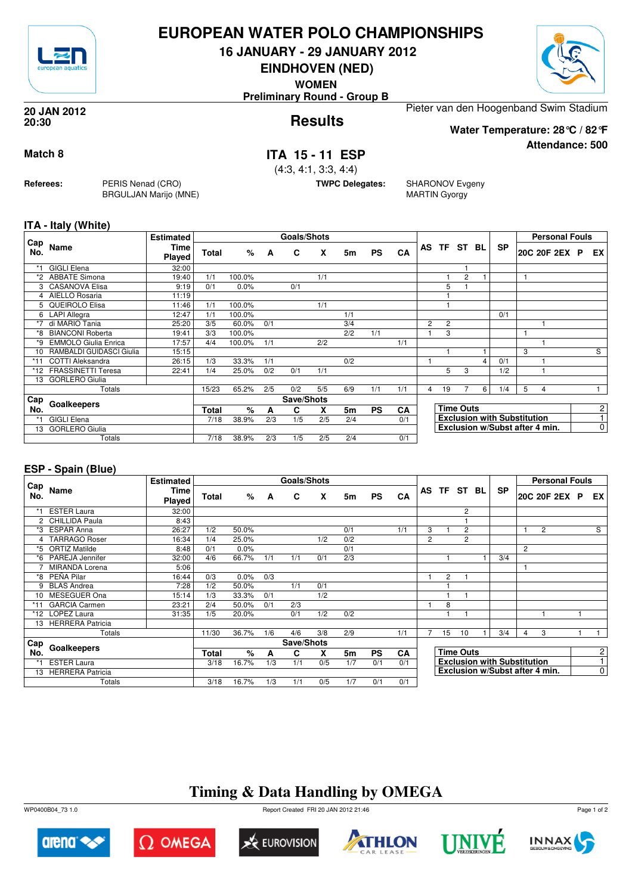

## **EUROPEAN WATER POLO CHAMPIONSHIPS**

**16 JANUARY - 29 JANUARY 2012**

**EINDHOVEN (NED)**

**WOMEN**

**Preliminary Round - Group B**



**Attendance: 500**

**Results 20 JAN 2012 20:30**

Pieter van den Hoogenband Swim Stadium **Water Temperature: 28°C / 82°F**

### **Match 8 ITA 15 - 11 ESP**

(4:3, 4:1, 3:3, 4:4)

**TWPC Delegates:** SHARONOV Evgeny MARTIN Gyorgy

**ITA - Italy (White)**

**Referees:** PERIS Nenad (CRO)

BRGULJAN Marijo (MNE)

|            |                             | <b>Estimated</b>      |       |        |     | Goals/Shots |     |                |           |     |                |                |                  |   |                                    |   | <b>Personal Fouls</b>          |                |
|------------|-----------------------------|-----------------------|-------|--------|-----|-------------|-----|----------------|-----------|-----|----------------|----------------|------------------|---|------------------------------------|---|--------------------------------|----------------|
| Cap<br>No. | Name                        | Time<br><b>Played</b> | Total | %      | A   | C           | X   | 5m             | <b>PS</b> | CA  |                |                | AS TF ST BL      |   | <b>SP</b>                          |   | 20C 20F 2EX P                  | EX I           |
|            | <b>GIGLI Elena</b>          | 32:00                 |       |        |     |             |     |                |           |     |                |                |                  |   |                                    |   |                                |                |
| *2         | <b>ABBATE Simona</b>        | 19:40                 | 1/1   | 100.0% |     |             | 1/1 |                |           |     |                |                | $\overline{2}$   |   |                                    |   |                                |                |
|            | 3 CASANOVA Elisa            | 9:19                  | 0/1   | 0.0%   |     | 0/1         |     |                |           |     |                | 5              |                  |   |                                    |   |                                |                |
| 4          | AIELLO Rosaria              | 11:19                 |       |        |     |             |     |                |           |     |                |                |                  |   |                                    |   |                                |                |
| 5.         | QUEIROLO Elisa              | 11:46                 | 1/1   | 100.0% |     |             | 1/1 |                |           |     |                |                |                  |   |                                    |   |                                |                |
|            | 6 LAPI Allegra              | 12:47                 | 1/1   | 100.0% |     |             |     | 1/1            |           |     |                |                |                  |   | 0/1                                |   |                                |                |
| $*7$       | di MARIO Tania              | 25:20                 | 3/5   | 60.0%  | 0/1 |             |     | 3/4            |           |     | $\overline{2}$ | $\overline{2}$ |                  |   |                                    |   |                                |                |
| *8         | <b>BIANCONI Roberta</b>     | 19:41                 | 3/3   | 100.0% |     |             |     | 2/2            | 1/1       |     |                | 3              |                  |   |                                    |   |                                |                |
| *9         | <b>EMMOLO Giulia Enrica</b> | 17:57                 | 4/4   | 100.0% | 1/1 |             | 2/2 |                |           | 1/1 |                |                |                  |   |                                    |   |                                |                |
|            | RAMBALDI GUIDASCI Giulia    | 15:15                 |       |        |     |             |     |                |           |     |                |                |                  |   |                                    | 3 |                                | S              |
| $*11$      | <b>COTTI Aleksandra</b>     | 26:15                 | 1/3   | 33.3%  | 1/1 |             |     | 0/2            |           |     |                |                |                  | 4 | 0/1                                |   |                                |                |
| *12        | <b>FRASSINETTI Teresa</b>   | 22:41                 | 1/4   | 25.0%  | 0/2 | 0/1         | 1/1 |                |           |     |                | 5              | 3                |   | 1/2                                |   |                                |                |
| 13         | <b>GORLERO Giulia</b>       |                       |       |        |     |             |     |                |           |     |                |                |                  |   |                                    |   |                                |                |
|            | Totals                      |                       | 15/23 | 65.2%  | 2/5 | 0/2         | 5/5 | 6/9            | 1/1       | 1/1 | 4              | 19             | 7                | 6 | 1/4                                | 5 | 4                              |                |
| Cap        |                             |                       |       |        |     | Save/Shots  |     |                |           |     |                |                |                  |   |                                    |   |                                |                |
| No.        | Goalkeepers                 |                       | Total | %      | A   | C           | X   | 5 <sub>m</sub> | <b>PS</b> | CA  |                |                | <b>Time Outs</b> |   |                                    |   |                                | $\overline{2}$ |
| *1         | <b>GIGLI Elena</b>          |                       | 7/18  | 38.9%  | 2/3 | 1/5         | 2/5 | 2/4            |           | 0/1 |                |                |                  |   | <b>Exclusion with Substitution</b> |   |                                | $\overline{1}$ |
| 13         | <b>GORLERO Giulia</b>       |                       |       |        |     |             |     |                |           |     |                |                |                  |   |                                    |   | Exclusion w/Subst after 4 min. | 0              |
|            | Totals                      |                       | 7/18  | 38.9%  | 2/3 | 1/5         | 2/5 | 2/4            |           | 0/1 |                |                |                  |   |                                    |   |                                |                |

#### **ESP - Spain (Blue)**

|            |                         | <b>Estimated</b>      |       |         |     | Goals/Shots |     |                |           |           |                |                |                  |                                    |   | <b>Personal Fouls</b> |  |                |
|------------|-------------------------|-----------------------|-------|---------|-----|-------------|-----|----------------|-----------|-----------|----------------|----------------|------------------|------------------------------------|---|-----------------------|--|----------------|
| Cap<br>No. | Name                    | <b>Time</b><br>Played | Total | %       | A   | C           | X   | 5m             | <b>PS</b> | CA        |                |                | AS TF ST BL      | <b>SP</b>                          |   | 20C 20F 2EX P         |  | EX I           |
|            | <b>ESTER Laura</b>      | 32:00                 |       |         |     |             |     |                |           |           |                |                | $\overline{c}$   |                                    |   |                       |  |                |
|            | 2 CHILLIDA Paula        | 8:43                  |       |         |     |             |     |                |           |           |                |                |                  |                                    |   |                       |  |                |
|            | *3 ESPAR Anna           | 26:27                 | 1/2   | 50.0%   |     |             |     | 0/1            |           | 1/1       | 3              |                | $\overline{c}$   |                                    | 1 | $\overline{c}$        |  | S              |
| 4          | <b>TARRAGO Roser</b>    | 16:34                 | 1/4   | 25.0%   |     |             | 1/2 | 0/2            |           |           | $\overline{2}$ |                | $\overline{c}$   |                                    |   |                       |  |                |
| *5         | <b>ORTIZ Matilde</b>    | 8:48                  | 0/1   | $0.0\%$ |     |             |     | 0/1            |           |           |                |                |                  |                                    | 2 |                       |  |                |
| *6         | PAREJA Jennifer         | 32:00                 | 4/6   | 66.7%   | 1/1 | 1/1         | 0/1 | 2/3            |           |           |                |                |                  | 3/4                                |   |                       |  |                |
|            | <b>MIRANDA Lorena</b>   | 5:06                  |       |         |     |             |     |                |           |           |                |                |                  |                                    |   |                       |  |                |
| *8         | PEÑA Pilar              | 16:44                 | 0/3   | 0.0%    | 0/3 |             |     |                |           |           |                | $\overline{2}$ |                  |                                    |   |                       |  |                |
| 9          | <b>BLAS Andrea</b>      | 7:28                  | 1/2   | 50.0%   |     | 1/1         | 0/1 |                |           |           |                |                |                  |                                    |   |                       |  |                |
|            | 10 MESEGUER Ona         | 15:14                 | 1/3   | 33.3%   | 0/1 |             | 1/2 |                |           |           |                |                |                  |                                    |   |                       |  |                |
| $*11$      | <b>GARCIA Carmen</b>    | 23:21                 | 2/4   | 50.0%   | 0/1 | 2/3         |     |                |           |           |                | 8              |                  |                                    |   |                       |  |                |
| *12        | LOPEZ Laura             | 31:35                 | 1/5   | 20.0%   |     | 0/1         | 1/2 | 0/2            |           |           |                |                |                  |                                    |   |                       |  |                |
| 13         | <b>HERRERA Patricia</b> |                       |       |         |     |             |     |                |           |           |                |                |                  |                                    |   |                       |  |                |
|            | Totals                  |                       | 11/30 | 36.7%   | 1/6 | 4/6         | 3/8 | 2/9            |           | 1/1       | 7              | 15             | 10               | 3/4                                | 4 | 3                     |  |                |
| Cap        |                         |                       |       |         |     | Save/Shots  |     |                |           |           |                |                |                  |                                    |   |                       |  |                |
| No.        | Goalkeepers             |                       | Total | $\%$    | A   | C           | X   | 5 <sub>m</sub> | <b>PS</b> | <b>CA</b> |                |                | <b>Time Outs</b> |                                    |   |                       |  | 2 <sup>1</sup> |
| $*1$       | <b>ESTER Laura</b>      |                       | 3/18  | 16.7%   | 1/3 | 1/1         | 0/5 | 1/7            | 0/1       | 0/1       |                |                |                  | <b>Exclusion with Substitution</b> |   |                       |  | 1.             |
|            | 13 HERRERA Patricia     |                       |       |         |     |             |     |                |           |           |                |                |                  | Exclusion w/Subst after 4 min.     |   |                       |  | $\overline{0}$ |
|            | Totals                  |                       | 3/18  | 16.7%   | 1/3 | 1/1         | 0/5 | 1/7            | 0/1       | 0/1       |                |                |                  |                                    |   |                       |  |                |

# **Timing & Data Handling by OMEGA**

WP0400B04\_73 1.0 Report Created FRI 20 JAN 2012 21:46













Page 1 of 2